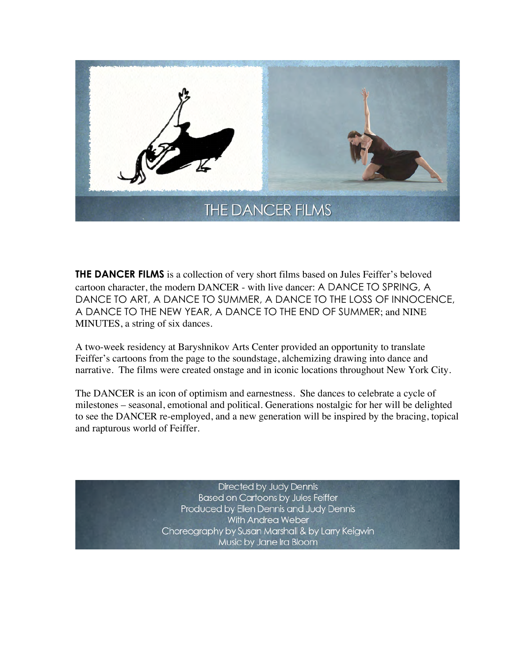

**THE DANCER FILMS** is a collection of very short films based on Jules Feiffer's beloved cartoon character, the modern DANCER - with live dancer: A DANCE TO SPRING, A DANCE TO ART, A DANCE TO SUMMER, A DANCE TO THE LOSS OF INNOCENCE, A DANCE TO THE NEW YEAR, A DANCE TO THE END OF SUMMER; and NINE MINUTES, a string of six dances.

A two-week residency at Baryshnikov Arts Center provided an opportunity to translate Feiffer's cartoons from the page to the soundstage, alchemizing drawing into dance and narrative. The films were created onstage and in iconic locations throughout New York City.

The DANCER is an icon of optimism and earnestness. She dances to celebrate a cycle of milestones – seasonal, emotional and political. Generations nostalgic for her will be delighted to see the DANCER re-employed, and a new generation will be inspired by the bracing, topical and rapturous world of Feiffer.

> Directed by Judy Dennis **Based on Cartoons by Jules Feiffer** Produced by Ellen Dennis and Judy Dennis With Andrea Weber Choreography by Susan Marshall & by Larry Keigwin Music by Jane Ira Bloom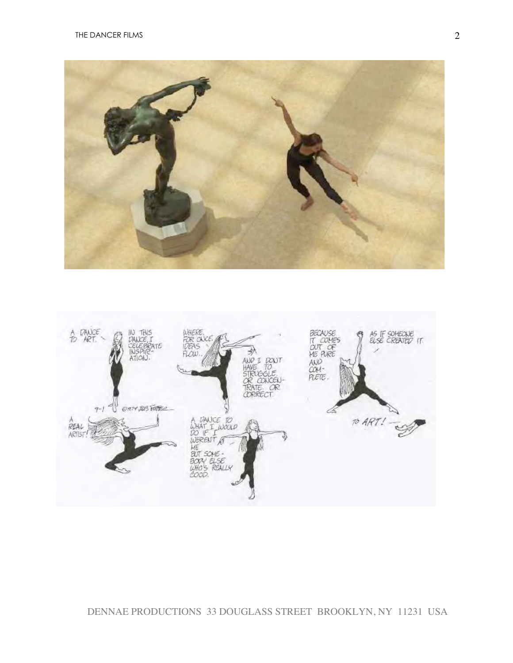



## DENNAE PRODUCTIONS 33 DOUGLASS STREET BROOKLYN, NY 11231 USA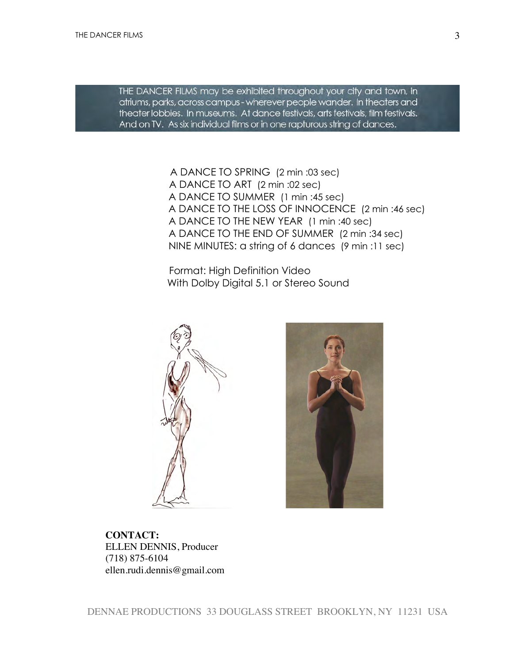THE DANCER FILMS may be exhibited throughout your city and town, in atriums, parks, across campus - wherever people wander. In theaters and theater lobbies. In museums. At dance festivals, arts festivals, film festivals. And on TV. As six individual films or in one rapturous string of dances.

> A DANCE TO SPRING (2 min :03 sec) A DANCE TO ART (2 min :02 sec) A DANCE TO SUMMER (1 min :45 sec) A DANCE TO THE LOSS OF INNOCENCE (2 min :46 sec) A DANCE TO THE NEW YEAR (1 min :40 sec) A DANCE TO THE END OF SUMMER (2 min :34 sec) NINE MINUTES: a string of 6 dances (9 min :11 sec)

 Format: High Definition Video With Dolby Digital 5.1 or Stereo Sound





**CONTACT:**  ELLEN DENNIS, Producer (718) 875-6104 ellen.rudi.dennis@gmail.com

3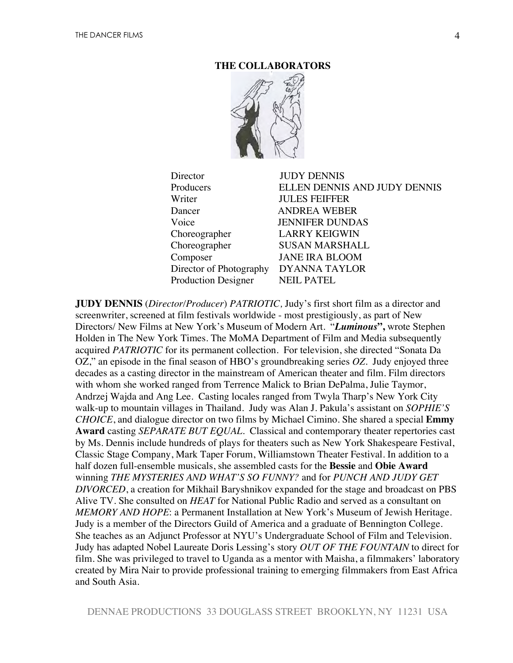## **THE COLLABORATORS**



Director JUDY DENNIS Producers ELLEN DENNIS AND JUDY DENNIS WriterJULES FEIFFER Dancer ANDREA WEBER VoiceJENNIFER DUNDAS Choreographer LARRY KEIGWIN Choreographer SUSAN MARSHALL Composer JANE IRA BLOOM Director of PhotographyDYANNA TAYLOR Production Designer NEIL PATEL

**JUDY DENNIS** (*Director/Producer*) *PATRIOTIC,* Judy's first short film as a director and screenwriter, screened at film festivals worldwide - most prestigiously, as part of New Directors/ New Films at New York's Museum of Modern Art. "*Luminous***",** wrote Stephen Holden in The New York Times. The MoMA Department of Film and Media subsequently acquired *PATRIOTIC* for its permanent collection. For television, she directed "Sonata Da OZ," an episode in the final season of HBO's groundbreaking series *OZ*. Judy enjoyed three decades as a casting director in the mainstream of American theater and film. Film directors with whom she worked ranged from Terrence Malick to Brian DePalma, Julie Taymor, Andrzej Wajda and Ang Lee. Casting locales ranged from Twyla Tharp's New York City walk-up to mountain villages in Thailand. Judy was Alan J. Pakula's assistant on *SOPHIE'S CHOICE*, and dialogue director on two films by Michael Cimino. She shared a special **Emmy Award** casting *SEPARATE BUT EQUAL.* Classical and contemporary theater repertories cast by Ms. Dennis include hundreds of plays for theaters such as New York Shakespeare Festival, Classic Stage Company, Mark Taper Forum, Williamstown Theater Festival. In addition to a half dozen full-ensemble musicals, she assembled casts for the **Bessie** and **Obie Award** winning *THE MYSTERIES AND WHAT'S SO FUNNY?* and for *PUNCH AND JUDY GET DIVORCED*, a creation for Mikhail Baryshnikov expanded for the stage and broadcast on PBS Alive TV. She consulted on *HEAT* for National Public Radio and served as a consultant on *MEMORY AND HOPE*: a Permanent Installation at New York's Museum of Jewish Heritage. Judy is a member of the Directors Guild of America and a graduate of Bennington College. She teaches as an Adjunct Professor at NYU's Undergraduate School of Film and Television. Judy has adapted Nobel Laureate Doris Lessing's story *OUT OF THE FOUNTAIN* to direct for film. She was privileged to travel to Uganda as a mentor with Maisha, a filmmakers' laboratory created by Mira Nair to provide professional training to emerging filmmakers from East Africa and South Asia.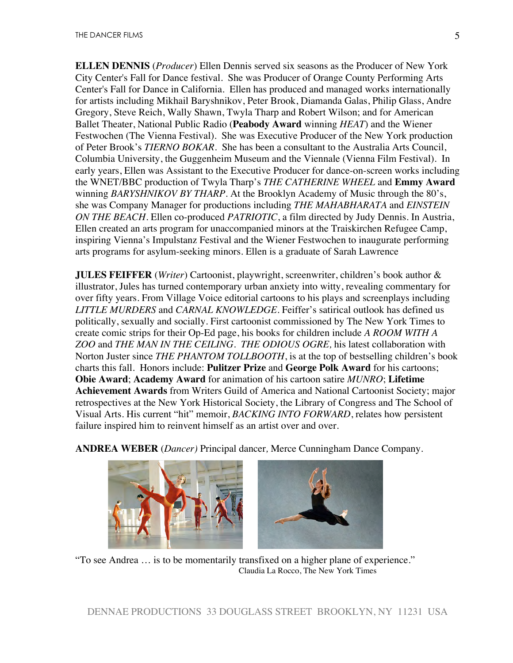**ELLEN DENNIS** (*Producer*) Ellen Dennis served six seasons as the Producer of New York City Center's Fall for Dance festival. She was Producer of Orange County Performing Arts Center's Fall for Dance in California. Ellen has produced and managed works internationally for artists including Mikhail Baryshnikov, Peter Brook, Diamanda Galas, Philip Glass, Andre Gregory, Steve Reich, Wally Shawn, Twyla Tharp and Robert Wilson; and for American Ballet Theater, National Public Radio (**Peabody Award** winning *HEAT*) and the Wiener Festwochen (The Vienna Festival). She was Executive Producer of the New York production of Peter Brook's *TIERNO BOKAR*. She has been a consultant to the Australia Arts Council, Columbia University, the Guggenheim Museum and the Viennale (Vienna Film Festival). In early years, Ellen was Assistant to the Executive Producer for dance-on-screen works including the WNET/BBC production of Twyla Tharp's *THE CATHERINE WHEEL* and **Emmy Award** winning *BARYSHNIKOV BY THARP*. At the Brooklyn Academy of Music through the 80's, she was Company Manager for productions including *THE MAHABHARATA* and *EINSTEIN ON THE BEACH.* Ellen co-produced *PATRIOTIC*, a film directed by Judy Dennis. In Austria, Ellen created an arts program for unaccompanied minors at the Traiskirchen Refugee Camp, inspiring Vienna's Impulstanz Festival and the Wiener Festwochen to inaugurate performing arts programs for asylum-seeking minors. Ellen is a graduate of Sarah Lawrence

**JULES FEIFFER** (*Writer*) Cartoonist, playwright, screenwriter, children's book author & illustrator, Jules has turned contemporary urban anxiety into witty, revealing commentary for over fifty years. From Village Voice editorial cartoons to his plays and screenplays including *LITTLE MURDERS* and *CARNAL KNOWLEDGE*. Feiffer's satirical outlook has defined us politically, sexually and socially. First cartoonist commissioned by The New York Times to create comic strips for their Op-Ed page, his books for children include *A ROOM WITH A ZOO* and *THE MAN IN THE CEILING*. *THE ODIOUS OGRE,* his latest collaboration with Norton Juster since *THE PHANTOM TOLLBOOTH*, is at the top of bestselling children's book charts this fall. Honors include: **Pulitzer Prize** and **George Polk Award** for his cartoons; **Obie Award**; **Academy Award** for animation of his cartoon satire *MUNRO*; **Lifetime Achievement Awards** from Writers Guild of America and National Cartoonist Society; major retrospectives at the New York Historical Society, the Library of Congress and The School of Visual Arts. His current "hit" memoir, *BACKING INTO FORWARD*, relates how persistent failure inspired him to reinvent himself as an artist over and over.



**ANDREA WEBER** (*Dancer)* Principal dancer*,* Merce Cunningham Dance Company.

"To see Andrea … is to be momentarily transfixed on a higher plane of experience." Claudia La Rocco, The New York Times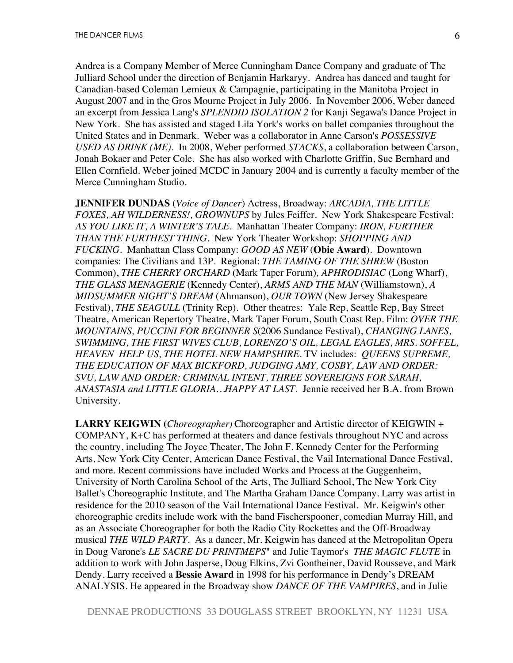Andrea is a Company Member of Merce Cunningham Dance Company and graduate of The Julliard School under the direction of Benjamin Harkaryy. Andrea has danced and taught for Canadian-based Coleman Lemieux & Campagnie, participating in the Manitoba Project in August 2007 and in the Gros Mourne Project in July 2006. In November 2006, Weber danced an excerpt from Jessica Lang's *SPLENDID ISOLATION 2* for Kanji Segawa's Dance Project in New York. She has assisted and staged Lila York's works on ballet companies throughout the United States and in Denmark. Weber was a collaborator in Anne Carson's *POSSESSIVE USED AS DRINK (ME).* In 2008, Weber performed *STACKS*, a collaboration between Carson, Jonah Bokaer and Peter Cole. She has also worked with Charlotte Griffin, Sue Bernhard and Ellen Cornfield. Weber joined MCDC in January 2004 and is currently a faculty member of the Merce Cunningham Studio.

**JENNIFER DUNDAS** (*Voice of Dancer*) Actress, Broadway: *ARCADIA, THE LITTLE FOXES, AH WILDERNESS!, GROWNUPS* by Jules Feiffer.New York Shakespeare Festival: *AS YOU LIKE IT, A WINTER'S TALE*.Manhattan Theater Company: *IRON, FURTHER THAN THE FURTHEST THING.* New York Theater Workshop: *SHOPPING AND FUCKING.* Manhattan Class Company: *GOOD AS NEW* (**Obie Award**). Downtown companies: The Civilians and 13P. Regional: *THE TAMING OF THE SHREW* (Boston Common), *THE CHERRY ORCHARD* (Mark Taper Forum)*, APHRODISIAC* (Long Wharf), *THE GLASS MENAGERIE* (Kennedy Center), *ARMS AND THE MAN* (Williamstown), *A MIDSUMMER NIGHT'S DREAM* (Ahmanson), *OUR TOWN* (New Jersey Shakespeare Festival), *THE SEAGULL* (Trinity Rep). Other theatres: Yale Rep, Seattle Rep, Bay Street Theatre, American Repertory Theatre, Mark Taper Forum, South Coast Rep. Film: *OVER THE MOUNTAINS, PUCCINI FOR BEGINNER S*(2006 Sundance Festival), *CHANGING LANES, SWIMMING, THE FIRST WIVES CLUB*, *LORENZO'S OIL, LEGAL EAGLES, MRS. SOFFEL, HEAVEN HELP US, THE HOTEL NEW HAMPSHIRE*. TV includes: *QUEENS SUPREME, THE EDUCATION OF MAX BICKFORD, JUDGING AMY, COSBY, LAW AND ORDER: SVU, LAW AND ORDER: CRIMINAL INTENT, THREE SOVEREIGNS FOR SARAH, ANASTASIA and LITTLE GLORIA…HAPPY AT LAST.* Jennie received her B.A. from Brown University.

**LARRY KEIGWIN (***Choreographer)* Choreographer and Artistic director of KEIGWIN + COMPANY, K+C has performed at theaters and dance festivals throughout NYC and across the country, including The Joyce Theater, The John F. Kennedy Center for the Performing Arts, New York City Center, American Dance Festival, the Vail International Dance Festival, and more. Recent commissions have included Works and Process at the Guggenheim, University of North Carolina School of the Arts, The Julliard School, The New York City Ballet's Choreographic Institute, and The Martha Graham Dance Company. Larry was artist in residence for the 2010 season of the Vail International Dance Festival. Mr. Keigwin's other choreographic credits include work with the band Fischerspooner, comedian Murray Hill, and as an Associate Choreographer for both the Radio City Rockettes and the Off-Broadway musical *THE WILD PARTY.* As a dancer, Mr. Keigwin has danced at the Metropolitan Opera in Doug Varone's *LE SACRE DU PRINTMEPS*" and Julie Taymor's *THE MAGIC FLUTE* in addition to work with John Jasperse, Doug Elkins, Zvi Gontheiner, David Rousseve, and Mark Dendy. Larry received a **Bessie Award** in 1998 for his performance in Dendy's DREAM ANALYSIS. He appeared in the Broadway show *DANCE OF THE VAMPIRES*, and in Julie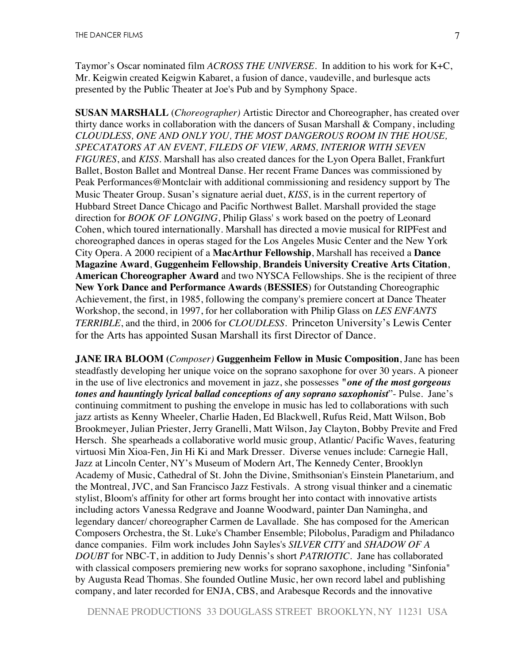Taymor's Oscar nominated film *ACROSS THE UNIVERSE.* In addition to his work for K+C, Mr. Keigwin created Keigwin Kabaret, a fusion of dance, vaudeville, and burlesque acts presented by the Public Theater at Joe's Pub and by Symphony Space.

**SUSAN MARSHALL** (*Choreographer)* Artistic Director and Choreographer, has created over thirty dance works in collaboration with the dancers of Susan Marshall & Company, including *CLOUDLESS, ONE AND ONLY YOU, THE MOST DANGEROUS ROOM IN THE HOUSE, SPECATATORS AT AN EVENT, FILEDS OF VIEW, ARMS, INTERIOR WITH SEVEN FIGURES*, and *KISS*. Marshall has also created dances for the Lyon Opera Ballet, Frankfurt Ballet, Boston Ballet and Montreal Danse. Her recent Frame Dances was commissioned by Peak Performances@Montclair with additional commissioning and residency support by The Music Theater Group. Susan's signature aerial duet, *KISS*, is in the current repertory of Hubbard Street Dance Chicago and Pacific Northwest Ballet. Marshall provided the stage direction for *BOOK OF LONGING*, Philip Glass' s work based on the poetry of Leonard Cohen, which toured internationally. Marshall has directed a movie musical for RIPFest and choreographed dances in operas staged for the Los Angeles Music Center and the New York City Opera. A 2000 recipient of a **MacArthur Fellowship**, Marshall has received a **Dance Magazine Award**, **Guggenheim Fellowship**, **Brandeis University Creative Arts Citation**, **American Choreographer Award** and two NYSCA Fellowships. She is the recipient of three **New York Dance and Performance Awards** (**BESSIES**) for Outstanding Choreographic Achievement, the first, in 1985, following the company's premiere concert at Dance Theater Workshop, the second, in 1997, for her collaboration with Philip Glass on *LES ENFANTS TERRIBLE*, and the third, in 2006 for *CLOUDLESS*. Princeton University's Lewis Center for the Arts has appointed Susan Marshall its first Director of Dance.

**JANE IRA BLOOM (***Composer)* **Guggenheim Fellow in Music Composition**, Jane has been steadfastly developing her unique voice on the soprano saxophone for over 30 years. A pioneer in the use of live electronics and movement in jazz, she possesses **"***one of the most gorgeous tones and hauntingly lyrical ballad conceptions of any soprano saxophonist*"- Pulse. Jane's continuing commitment to pushing the envelope in music has led to collaborations with such jazz artists as Kenny Wheeler, Charlie Haden, Ed Blackwell, Rufus Reid, Matt Wilson, Bob Brookmeyer, Julian Priester, Jerry Granelli, Matt Wilson, Jay Clayton, Bobby Previte and Fred Hersch. She spearheads a collaborative world music group, Atlantic/ Pacific Waves, featuring virtuosi Min Xioa-Fen, Jin Hi Ki and Mark Dresser. Diverse venues include: Carnegie Hall, Jazz at Lincoln Center, NY's Museum of Modern Art, The Kennedy Center, Brooklyn Academy of Music, Cathedral of St. John the Divine, Smithsonian's Einstein Planetarium, and the Montreal, JVC, and San Francisco Jazz Festivals. A strong visual thinker and a cinematic stylist, Bloom's affinity for other art forms brought her into contact with innovative artists including actors Vanessa Redgrave and Joanne Woodward, painter Dan Namingha, and legendary dancer/ choreographer Carmen de Lavallade. She has composed for the American Composers Orchestra, the St. Luke's Chamber Ensemble; Pilobolus, Paradigm and Philadanco dance companies. Film work includes John Sayles's *SILVER CITY* and *SHADOW OF A DOUBT* for NBC-T, in addition to Judy Dennis's short *PATRIOTIC*. Jane has collaborated with classical composers premiering new works for soprano saxophone, including "Sinfonia" by Augusta Read Thomas. She founded Outline Music, her own record label and publishing company, and later recorded for ENJA, CBS, and Arabesque Records and the innovative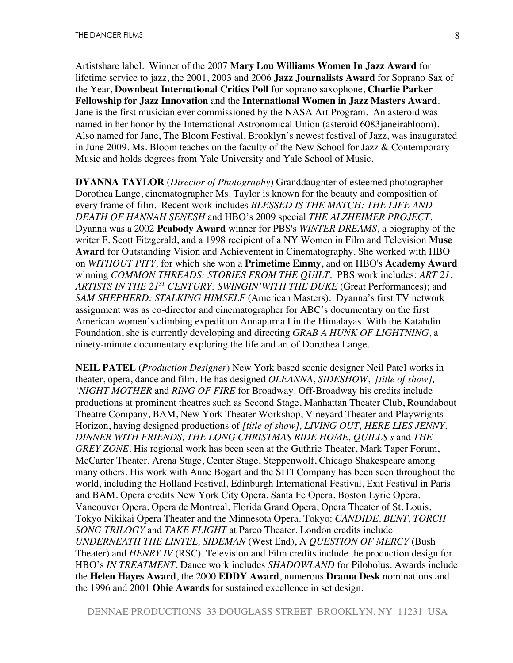Artistshare label. Winner of the 2007 **Mary Lou Williams Women In Jazz Award** for lifetime service to jazz, the 2001, 2003 and 2006 **Jazz Journalists Award** for Soprano Sax of the Year, **Downbeat International Critics Poll** for soprano saxophone, **Charlie Parker Fellowship for Jazz Innovation** and the **International Women in Jazz Masters Award**. Jane is the first musician ever commissioned by the NASA Art Program. An asteroid was named in her honor by the International Astronomical Union (asteroid 6083janeirabloom). Also named for Jane, The Bloom Festival, Brooklyn's newest festival of Jazz, was inaugurated in June 2009. Ms. Bloom teaches on the faculty of the New School for Jazz & Contemporary Music and holds degrees from Yale University and Yale School of Music.

**DYANNA TAYLOR** (*Director of Photography*) Granddaughter of esteemed photographer Dorothea Lange, cinematographer Ms. Taylor is known for the beauty and composition of every frame of film. Recent work includes *BLESSED IS THE MATCH: THE LIFE AND DEATH OF HANNAH SENESH* and HBO's 2009 special *THE ALZHEIMER PROJECT*. Dyanna was a 2002 **Peabody Award** winner for PBS's *WINTER DREAMS*, a biography of the writer F. Scott Fitzgerald, and a 1998 recipient of a NY Women in Film and Television **Muse Award** for Outstanding Vision and Achievement in Cinematography. She worked with HBO on *WITHOUT PITY,* for which she won a **Primetime Emmy**, and on HBO's **Academy Award** winning *COMMON THREADS: STORIES FROM THE QUILT.* PBS work includes: *ART 21: ARTISTS IN THE 21ST CENTURY: SWINGIN'WITH THE DUKE* (Great Performances); and *SAM SHEPHERD: STALKING HIMSELF* (American Masters). Dyanna's first TV network assignment was as co-director and cinematographer for ABC's documentary on the first American women's climbing expedition Annapurna I in the Himalayas. With the Katahdin Foundation, she is currently developing and directing *GRAB A HUNK OF LIGHTNING*, a ninety-minute documentary exploring the life and art of Dorothea Lange.

**NEIL PATEL** (*Production Designer*) New York based scenic designer Neil Patel works in theater, opera, dance and film. He has designed *OLEANNA*, *SIDESHOW*, *[title of show], 'NIGHT MOTHER* and *RING OF FIRE* for Broadway. Off-Broadway his credits include productions at prominent theatres such as Second Stage, Manhattan Theater Club, Roundabout Theatre Company, BAM, New York Theater Workshop, Vineyard Theater and Playwrights Horizon, having designed productions of *[title of show], LIVING OUT, HERE LIES JENNY, DINNER WITH FRIENDS, THE LONG CHRISTMAS RIDE HOME, QUILLS s* and *THE GREY ZONE.* His regional work has been seen at the Guthrie Theater, Mark Taper Forum, McCarter Theater, Arena Stage, Center Stage, Steppenwolf, Chicago Shakespeare among many others. His work with Anne Bogart and the SITI Company has been seen throughout the world, including the Holland Festival, Edinburgh International Festival, Exit Festival in Paris and BAM. Opera credits New York City Opera, Santa Fe Opera, Boston Lyric Opera, Vancouver Opera, Opera de Montreal, Florida Grand Opera, Opera Theater of St. Louis, Tokyo Nikikai Opera Theater and the Minnesota Opera. Tokyo: *CANDIDE. BENT, TORCH SONG TRILOGY* and *TAKE FLIGHT* at Parco Theater*.* London credits include *UNDERNEATH THE LINTEL, SIDEMAN* (West End), A *QUESTION OF MERCY* (Bush Theater) and *HENRY IV* (RSC). Television and Film credits include the production design for HBO's *IN TREATMENT*. Dance work includes *SHADOWLAND* for Pilobolus. Awards include the **Helen Hayes Award**, the 2000 **EDDY Award**, numerous **Drama Desk** nominations and the 1996 and 2001 **Obie Awards** for sustained excellence in set design.